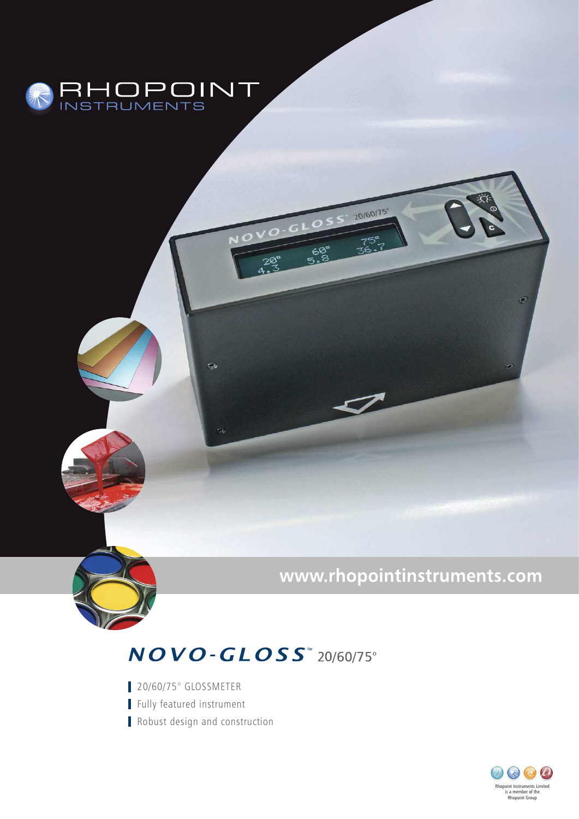

## www.rhopointinstruments.com

20160175°

## $NOVO$ - $GLOSS$ <sup>\*</sup> 20/60/75°

20/60/75° GLOSSMETER Fully featured instrument Robust design and construction

Q)

Ġ,

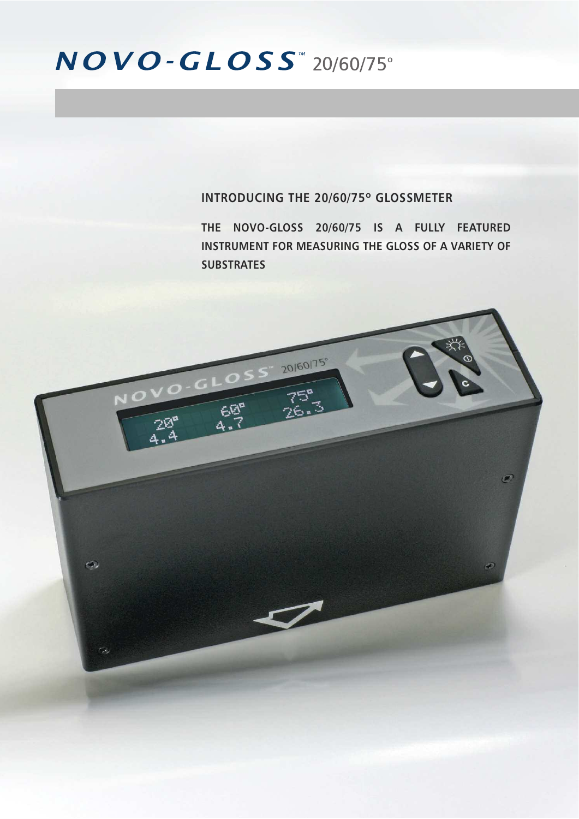## $NOVO$ -GLOSS<sup>"</sup> 20/60/75°

### **INTRODUCING THE 20/60/75º GLOSSMETER**

**THE NOVO-GLOSS 20/60/75 IS A FULLY FEATURED INSTRUMENT FOR MEASURING THE GLOSS OF A VARIETY OF SUBSTRATES**

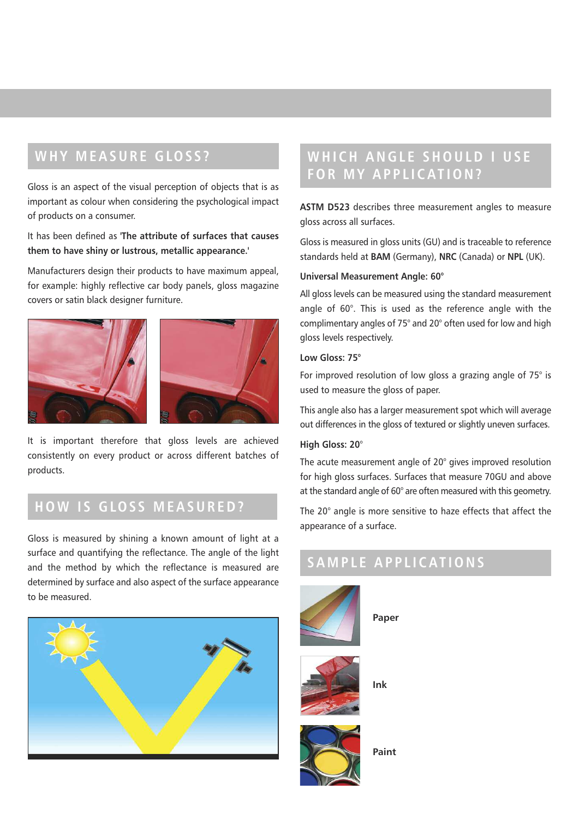## **W HY M E A SUR E GLOS S ?**

Gloss is an aspect of the visual perception of objects that is as important as colour when considering the psychological impact of products on a consumer.

It has been defined as **'The attribute of surfaces that causes them to have shiny or lustrous, metallic appearance.'**

Manufacturers design their products to have maximum appeal, for example: highly reflective car body panels, gloss magazine covers or satin black designer furniture.





It is important therefore that gloss levels are achieved consistently on every product or across different batches of products.

## **HO W I S GLOS S M E A SUR ED?**

Gloss is measured by shining a known amount of light at a surface and quantifying the reflectance. The angle of the light and the method by which the reflectance is measured are determined by surface and also aspect of the surface appearance to be measured.



## **W HI CH ANGL E SHOULD I US E FOR M Y A P P L I C AT ION?**

**ASTM D523** describes three measurement angles to measure gloss across all surfaces.

Gloss is measured in gloss units (GU) and is traceable to reference standards held at **BAM** (Germany), **NRC** (Canada) or **NPL** (UK).

#### **Universal Measurement Angle: 60°**

All gloss levels can be measured using the standard measurement angle of 60°. This is used as the reference angle with the complimentary angles of 75° and 20° often used for low and high gloss levels respectively.

#### **Low Gloss: 75°**

For improved resolution of low gloss a grazing angle of 75° is used to measure the gloss of paper.

This angle also has a larger measurement spot which will average out differences in the gloss of textured or slightly uneven surfaces.

#### **High Gloss: 20**°

The acute measurement angle of 20° gives improved resolution for high gloss surfaces. Surfaces that measure 70GU and above at the standard angle of 60° are often measured with this geometry.

The 20° angle is more sensitive to haze effects that affect the appearance of a surface.

## **S A M P L E A P P L I C AT IONS**



**Paint**